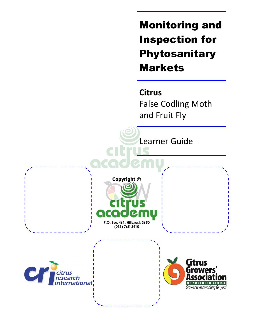Monitoring and Inspection for **Phytosanitary** Markets

**Citrus**

False Codling Moth and Fruit Fly

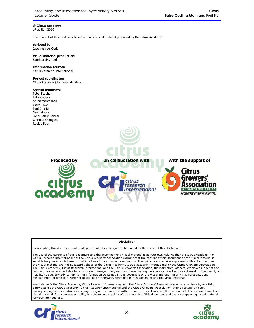Monitoring and Inspection for Phytosanitary Markets Learner Guide

#### **© Citrus Academy**  1 st edition 2020

The content of this module is based on audio-visual material produced by the Citrus Academy.

**Scripted by:**  Jacomien de Klerk

#### **Visual material production:**  Sagritex (Pty) Ltd

#### **Information sources:**

Citrus Research International

#### **Project coordinator:**

Citrus Academy (Jacomien de Klerk)

#### **Special thanks to:**

Peter Stephen Luke Cousins Aruna Manrakhan Claire Love Paul Cronje Sean Moore John-Henry Daneel Glorious Shongwe Rookie Beck



#### **Disclaimer**

By accepting this document and reading its contents you agree to be bound by the terms of this disclaimer.

The use of the contents of this document and the accompanying visual material is at your own risk. Neither the Citrus Academy nor Citrus Research International nor the Citrus Growers' Association warrant that the content of this document or the visual material is suitable for your intended use or that it is free of inaccuracies or omissions. The opinions and advice expressed in this document and the visual material are not necessarily those of the Citrus Academy, Citrus Research International or the Citrus Growers' Association. The Citrus Academy, Citrus Research International and the Citrus Growers' Association, their directors, officers, employees, agents and contractors shall not be liable for any loss or damage of any nature suffered by any person as a direct or indirect result of the use of, or inability to use, any advice, opinion or information contained in this document or the visual material, or any misrepresentation, misstatement or omission, whether negligent or otherwise, contained in this document and the visual material.

You indemnify the Citrus Academy, Citrus Research International and the Citrus Growers' Association against any claim by any third party against the Citrus Academy, Citrus Research International and the Citrus Growers' Association, their directors, officers, employees, agents or contractors arising from, or in connection with, the use of, or reliance on, the contents of this document and the visual material. It is your responsibility to determine suitability of the contents of this document and the accompanying visual material for your intended use.



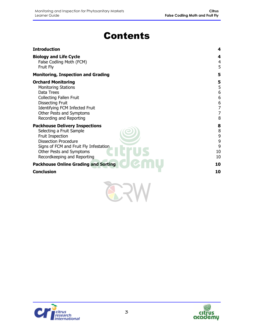# Contents

| <b>Introduction</b>                                                                                                                                                                                                         | 4                                                                                                            |
|-----------------------------------------------------------------------------------------------------------------------------------------------------------------------------------------------------------------------------|--------------------------------------------------------------------------------------------------------------|
| <b>Biology and Life Cycle</b><br>False Codling Moth (FCM)<br>Fruit Fly                                                                                                                                                      | 4<br>4<br>5                                                                                                  |
| <b>Monitoring, Inspection and Grading</b>                                                                                                                                                                                   | 5                                                                                                            |
| <b>Orchard Monitoring</b><br><b>Monitoring Stations</b><br>Data Trees<br><b>Collecting Fallen Fruit</b><br><b>Dissecting Fruit</b><br>Identifying FCM Infected Fruit<br>Other Pests and Symptoms<br>Recording and Reporting | 5<br>5<br>$\overline{6}$<br>$\boldsymbol{6}$<br>$\begin{array}{c} 6 \\ 7 \end{array}$<br>$\overline{7}$<br>8 |
| <b>Packhouse Delivery Inspections</b><br>Selecting a Fruit Sample<br>Fruit Inspection<br><b>Dissection Procedure</b><br>Signs of FCM and Fruit Fly Infestation<br>Other Pests and Symptoms<br>Recordkeeping and Reporting   | 8<br>8<br>9<br>9<br>9<br>10<br>10                                                                            |
| <b>Packhouse Online Grading and Sorting</b>                                                                                                                                                                                 | 10                                                                                                           |
| <b>Conclusion</b>                                                                                                                                                                                                           | 10                                                                                                           |
|                                                                                                                                                                                                                             |                                                                                                              |



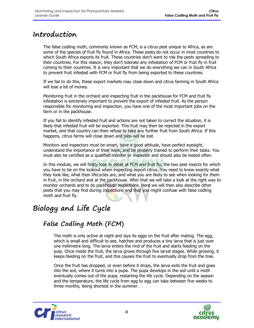### **Introduction**

The false codling moth, commonly known as FCM, is a citrus pest unique to Africa, as are some of the species of fruit fly found in Africa. These pests do not occur in most countries to which South Africa exports its fruit. These countries don't want to risk the pests spreading to their countries. For this reason, they don't tolerate any infestation of FCM or fruit fly in fruit coming to their countries. It is very important that we do everything we can in South Africa to prevent fruit infested with FCM or fruit fly from being exported to these countries.

If we fail to do this, these export markets may close down and citrus farming in South Africa will lose a lot of money.

Monitoring fruit in the orchard and inspecting fruit in the packhouse for FCM and fruit fly infestation is extremely important to prevent the export of infested fruit. As the person responsible for monitoring and inspection, you have one of the most important jobs on the farm or in the packhouse.

If you fail to identify infested fruit and actions are not taken to correct the situation, it is likely that infested fruit will be exported. This fruit may then be rejected in the export market, and that country can then refuse to take any further fruit from South Africa. If this happens, citrus farms will close down and jobs will be lost.

Monitors and inspectors must be smart, have a good attitude, have perfect eyesight, understand the importance of their work, and be properly trained to perform their tasks. You must also be certified as a qualified monitor or inspector and should also be tested often.

In this module, we will firstly look in detail at FCM and fruit fly, the two pest insects for which you have to be on the lookout when inspecting export citrus. You need to know exactly what they look like, what their lifecycles are, and what you are likely to see when looking for them in fruit, in the orchard and at the packhouse. After that we will take a look at the right way to monitor orchards and to do packhouse inspections. Here we will then also describe other pests that you may find during inspections and that you might confuse with false codling moth and fruit fly.

# **Biology and Life Cycle**

## **False Codling Moth (FCM)**

The moth is only active at night and lays its eggs on the fruit after mating. The egg, which is small and difficult to see, hatches and produces a tiny larva that is just over one millimetre long. The larva enters the rind of the fruit and starts feeding on the pulp. Once inside the fruit, the larva grows through five larval stages. While growing, it keeps feeding on the fruit, and this causes the fruit to eventually drop from the tree.

Once the fruit has dropped, or even before it drops, the larva exits the fruit and goes into the soil, where it turns into a pupa. The pupa develops in the soil until a moth eventually comes out of the pupa, restarting the life cycle. Depending on the season and the temperature, the life cycle from egg to egg can take between five weeks to three months, being shortest in the summer.



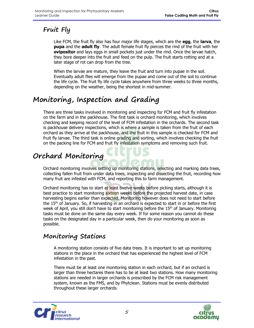## **Fruit Fly**

Like FCM, the fruit fly also has four major life stages, which are the **egg**, the **larva**, the **pupa** and the **adult fly**. The adult female fruit fly pierces the rind of the fruit with her **ovipositor** and lays eggs in small pockets just under the rind. Once the larvae hatch, they bore deeper into the fruit and feed on the pulp. The fruit starts rotting and at a later stage of rot can drop from the tree.

When the larvae are mature, they leave the fruit and turn into pupae in the soil. Eventually adult flies will emerge from the pupae and come out of the soil to continue the life cycle. The fruit fly life cycle takes anywhere from three weeks to three months, depending on the weather, being the shortest in mid-summer.

## **Monitoring, Inspection and Grading**

There are three tasks involved in monitoring and inspecting for FCM and fruit fly infestation on the farm and in the packhouse. The first task is orchard monitoring, which involves checking and keeping record of the level of FCM infestation in the orchards. The second task is packhouse delivery inspections, which is where a sample is taken from the fruit of each orchard as they arrive at the packhouse, and the fruit in this sample is checked for FCM and fruit fly larvae. The third task is online grading and sorting, which involves checking the fruit on the packing line for FCM and fruit fly infestation symptoms and removing such fruit.

## **Orchard Monitoring**

Orchard monitoring involves setting up monitoring stations, selecting and marking data trees, collecting fallen fruit from under data trees, inspecting and dissecting the fruit, recording how many fruit are infested with FCM, and reporting this to farm management.

Orchard monitoring has to start at least twelve weeks before picking starts, although it is best practice to start monitoring sixteen weeks before the projected harvest date, in case harvesting begins earlier than expected. Monitoring however does not need to start before the 15<sup>th</sup> of January. So, if harvesting in an orchard is expected to start in or before the first week of April, you still don't have to start monitoring before the  $15<sup>th</sup>$  of January. Monitoring tasks must be done on the same day every week. If for some reason you cannot do these tasks on the designated day in a particular week, then do your monitoring as soon as possible.

#### **Monitoring Stations**

A monitoring station consists of five data trees. It is important to set up monitoring stations in the place in the orchard that has experienced the highest level of FCM infestation in the past.

There must be at least one monitoring station in each orchard, but if an orchard is larger than three hectares there has to be at least two stations. How many monitoring stations are needed in larger orchards is prescribed by the FCM risk management system, known as the FMS, and by Phytclean. Stations must be evenly distributed throughout these larger orchards.



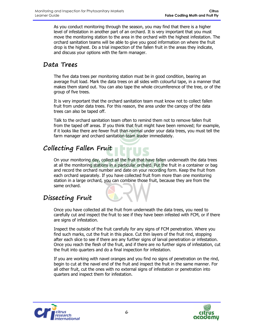As you conduct monitoring through the season, you may find that there is a higher level of infestation in another part of an orchard. It is very important that you must move the monitoring station to the area in the orchard with the highest infestation. The orchard sanitation teams will be able to give you good information on where the fruit drop is the highest. Do a trial inspection of the fallen fruit in the areas they indicate, and discuss your options with the farm manager.

#### **Data Trees**

The five data trees per monitoring station must be in good condition, bearing an average fruit load. Mark the data trees on all sides with colourful tape, in a manner that makes them stand out. You can also tape the whole circumference of the tree, or of the group of five trees.

It is very important that the orchard sanitation team must know not to collect fallen fruit from under data trees. For this reason, the area under the canopy of the data trees can also be taped off.

Talk to the orchard sanitation team often to remind them not to remove fallen fruit from the taped off areas. If you think that fruit might have been removed; for example, if it looks like there are fewer fruit than normal under your data trees, you must tell the farm manager and orchard sanitation team leader immediately.

### **Collecting Fallen Fruit**

On your monitoring day, collect all the fruit that have fallen underneath the data trees at all the monitoring stations in a particular orchard. Put the fruit in a container or bag and record the orchard number and date on your recording form. Keep the fruit from each orchard separately. If you have collected fruit from more than one monitoring station in a large orchard, you can combine those fruit, because they are from the same orchard.

#### **Dissecting Fruit**

Once you have collected all the fruit from underneath the data trees, you need to carefully cut and inspect the fruit to see if they have been infested with FCM, or if there are signs of infestation.

Inspect the outside of the fruit carefully for any signs of FCM penetration. Where you find such marks, cut the fruit in this place. Cut thin layers of the fruit rind, stopping after each slice to see if there are any further signs of larval penetration or infestation. Once you reach the flesh of the fruit, and if there are no further signs of infestation, cut the fruit into quarters and do a final inspection for infestation.

If you are working with navel oranges and you find no signs of penetration on the rind, begin to cut at the navel end of the fruit and inspect the fruit in the same manner. For all other fruit, cut the ones with no external signs of infestation or penetration into quarters and inspect them for infestation.



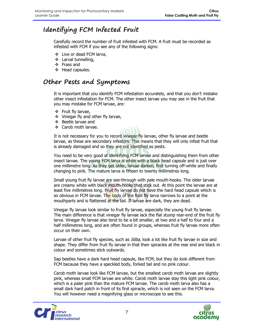#### **Identifying FCM Infected Fruit**

Carefully record the number of fruit infested with FCM. A fruit must be recorded as infested with FCM if you see any of the following signs:

- Live or dead FCM larva,
- ❖ Larval tunnelling,
- ❖ Frass and
- ❖ Head capsules.

#### **Other Pests and Symptoms**

It is important that you identify FCM infestation accurately, and that you don't mistake other insect infestation for FCM. The other insect larvae you may see in the fruit that you may mistake for FCM larvae, are:

- ❖ Fruit fly larvae,
- ❖ Vinegar fly and other fly larvae,
- Beetle larvae and
- ❖ Carob moth larvae.

It is not necessary for you to record vinegar fly larvae, other fly larvae and beetle larvae, as these are secondary infestors. This means that they will only infest fruit that is already damaged and so they are not identified as pests.

You need to be very good at identifying FCM larvae and distinguishing them from other insect larvae. The young FCM larva is white with a black head capsule and is just over one millimetre long. As they get older, larvae darken, first turning off-white and finally changing to pink. The mature larva is fifteen to twenty millimetres long.

Small young fruit fly larvae are see-through with pale mouth-hooks. The older larvae are creamy white with black mouth-hooks that stick out. At this point the larvae are at least five millimetres long. Fruit fly larvae do not have the hard head capsule which is so obvious in FCM larvae. The body of the fruit fly larva narrows to a point at the mouthparts and is flattened at the tail. If larvae are dark, they are dead.

Vinegar fly larvae look similar to fruit fly larvae, especially the young fruit fly larvae. The main difference is that vinegar fly larvae lack the flat stump rear-end of the fruit fly larva. Vinegar fly larvae also tend to be a bit smaller, at two and a half to four and a half millimetres long, and are often found in groups, whereas fruit fly larvae more often occur on their own.

Larvae of other fruit fly species, such as *Silba*, look a lot like fruit fly larvae in size and shape. They differ from fruit fly larvae in that their spiracles at the rear end are black in colour and sometimes stick outwards.

Sap beetles have a dark hard head capsule, like FCM, but they do look different from FCM because they have a speckled body, forked tail and no pink colour.

Carob moth larvae look like FCM larvae, but the smallest carob moth larvae are slightly pink, whereas small FCM larvae are white. Carob moth larvae stay this light pink colour, which is a paler pink than the mature FCM larvae. The carob moth larva also has a small dark hard patch in front of its first spiracle, which is not seen on the FCM larva. You will however need a magnifying glass or microscope to see this.



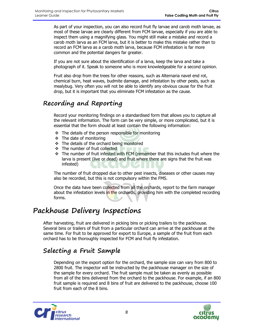As part of your inspection, you can also record fruit fly larvae and carob moth larvae, as most of these larvae are clearly different from FCM larvae, especially if you are able to inspect them using a magnifying glass. You might still make a mistake and record a carob moth larva as an FCM larva, but it is better to make this mistake rather than to record an FCM larva as a carob moth larva, because FCM infestation is far more common and the potential dangers far greater.

If you are not sure about the identification of a larva, keep the larva and take a photograph of it. Speak to someone who is more knowledgeable for a second opinion.

Fruit also drop from the trees for other reasons, such as Alternaria navel end rot, chemical burn, heat waves, budmite damage, and infestation by other pests, such as mealybug. Very often you will not be able to identify any obvious cause for the fruit drop, but it is important that you eliminate FCM infestation as the cause.

#### **Recording and Reporting**

Record your monitoring findings on a standardised form that allows you to capture all the relevant information. The form can be very simple, or more complicated, but it is essential that the form should at least contain the following information:

- $\cdot \cdot$  The details of the person responsible for monitoring
- $\div$  The date of monitoring
- The details of the orchard being monitored
- The number of fruit collected
- $\div$  The number of fruit infested with FCM (remember that this includes fruit where the larva is present (live or dead) and fruit where there are signs that the fruit was infested)

The number of fruit dropped due to other pest insects, diseases or other causes may also be recorded, but this is not compulsory within the FMS.

Once the data have been collected from all the orchards, report to the farm manager about the infestation levels in the orchards, providing him with the completed recording forms.

## **Packhouse Delivery Inspections**

After harvesting, fruit are delivered in picking bins or picking trailers to the packhouse. Several bins or trailers of fruit from a particular orchard can arrive at the packhouse at the same time. For fruit to be approved for export to Europe, a sample of the fruit from each orchard has to be thoroughly inspected for FCM and fruit fly infestation.

### **Selecting a Fruit Sample**

Depending on the export option for the orchard, the sample size can vary from 800 to 2800 fruit. The inspector will be instructed by the packhouse manager on the size of the sample for every orchard. The fruit sample must be taken as evenly as possible from all of the bins delivered from the orchard to the packhouse. For example, if an 800 fruit sample is required and 8 bins of fruit are delivered to the packhouse, choose 100 fruit from each of the 8 bins.



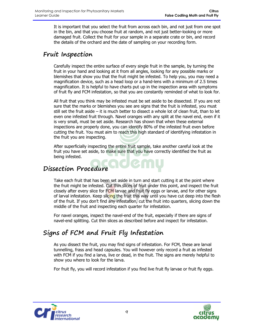It is important that you select the fruit from across each bin, and not just from one spot in the bin, and that you choose fruit at random, and not just better-looking or more damaged fruit. Collect the fruit for your sample in a separate crate or bin, and record the details of the orchard and the date of sampling on your recording form.

#### **Fruit Inspection**

Carefully inspect the entire surface of every single fruit in the sample, by turning the fruit in your hand and looking at it from all angles, looking for any possible marks or blemishes that show you that the fruit might be infested. To help you, you may need a magnification device, such as a head loop or a hand-lens with a minimum of 2.5 times magnification. It is helpful to have charts put up in the inspection area with symptoms of fruit fly and FCM infestation, so that you are constantly reminded of what to look for.

All fruit that you think may be infested must be set aside to be dissected. If you are not sure that the marks or blemishes you see are signs that the fruit is infested, you must still set the fruit aside – it is much better to dissect a whole lot of clean fruit, than to let even one infested fruit through. Navel oranges with any split at the navel end, even if it is very small, must be set aside. Research has shown that when these external inspections are properly done, you can identify 80% of the infested fruit even before cutting the fruit. You must aim to reach this high standard of identifying infestation in the fruit you are inspecting.

After superficially inspecting the entire fruit sample, take another careful look at the fruit you have set aside, to make sure that you have correctly identified the fruit as being infested.

#### **Dissection Procedure**

Take each fruit that has been set aside in turn and start cutting it at the point where the fruit might be infested. Cut thin slices of fruit under this point, and inspect the fruit closely after every slice for FCM larvae and fruit fly eggs or larvae, and for other signs of larval infestation. Keep slicing the fruit this way until you have cut deep into the flesh of the fruit. If you don't find any infestation, cut the fruit into quarters, slicing down the middle of the fruit and inspecting each quarter for infestation.

For navel oranges, inspect the navel-end of the fruit, especially if there are signs of navel-end splitting. Cut thin slices as described before and inspect for infestation.

#### **Signs of FCM and Fruit Fly Infestation**

As you dissect the fruit, you may find signs of infestation. For FCM, these are larval tunnelling, frass and head capsules. You will however only record a fruit as infested with FCM if you find a larva, live or dead, in the fruit. The signs are merely helpful to show you where to look for the larva.

For fruit fly, you will record infestation if you find live fruit fly larvae or fruit fly eggs.